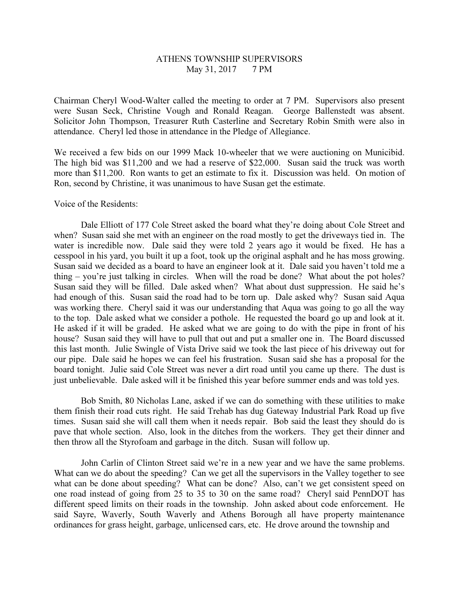## ATHENS TOWNSHIP SUPERVISORS May 31, 2017 7 PM

Chairman Cheryl Wood-Walter called the meeting to order at 7 PM. Supervisors also present were Susan Seck, Christine Vough and Ronald Reagan. George Ballenstedt was absent. Solicitor John Thompson, Treasurer Ruth Casterline and Secretary Robin Smith were also in attendance. Cheryl led those in attendance in the Pledge of Allegiance.

We received a few bids on our 1999 Mack 10-wheeler that we were auctioning on Municibid. The high bid was \$11,200 and we had a reserve of \$22,000. Susan said the truck was worth more than \$11,200. Ron wants to get an estimate to fix it. Discussion was held. On motion of Ron, second by Christine, it was unanimous to have Susan get the estimate.

## Voice of the Residents:

 Dale Elliott of 177 Cole Street asked the board what they're doing about Cole Street and when? Susan said she met with an engineer on the road mostly to get the driveways tied in. The water is incredible now. Dale said they were told 2 years ago it would be fixed. He has a cesspool in his yard, you built it up a foot, took up the original asphalt and he has moss growing. Susan said we decided as a board to have an engineer look at it. Dale said you haven't told me a thing – you're just talking in circles. When will the road be done? What about the pot holes? Susan said they will be filled. Dale asked when? What about dust suppression. He said he's had enough of this. Susan said the road had to be torn up. Dale asked why? Susan said Aqua was working there. Cheryl said it was our understanding that Aqua was going to go all the way to the top. Dale asked what we consider a pothole. He requested the board go up and look at it. He asked if it will be graded. He asked what we are going to do with the pipe in front of his house? Susan said they will have to pull that out and put a smaller one in. The Board discussed this last month. Julie Swingle of Vista Drive said we took the last piece of his driveway out for our pipe. Dale said he hopes we can feel his frustration. Susan said she has a proposal for the board tonight. Julie said Cole Street was never a dirt road until you came up there. The dust is just unbelievable. Dale asked will it be finished this year before summer ends and was told yes.

Bob Smith, 80 Nicholas Lane, asked if we can do something with these utilities to make them finish their road cuts right. He said Trehab has dug Gateway Industrial Park Road up five times. Susan said she will call them when it needs repair. Bob said the least they should do is pave that whole section. Also, look in the ditches from the workers. They get their dinner and then throw all the Styrofoam and garbage in the ditch. Susan will follow up.

John Carlin of Clinton Street said we're in a new year and we have the same problems. What can we do about the speeding? Can we get all the supervisors in the Valley together to see what can be done about speeding? What can be done? Also, can't we get consistent speed on one road instead of going from 25 to 35 to 30 on the same road? Cheryl said PennDOT has different speed limits on their roads in the township. John asked about code enforcement. He said Sayre, Waverly, South Waverly and Athens Borough all have property maintenance ordinances for grass height, garbage, unlicensed cars, etc. He drove around the township and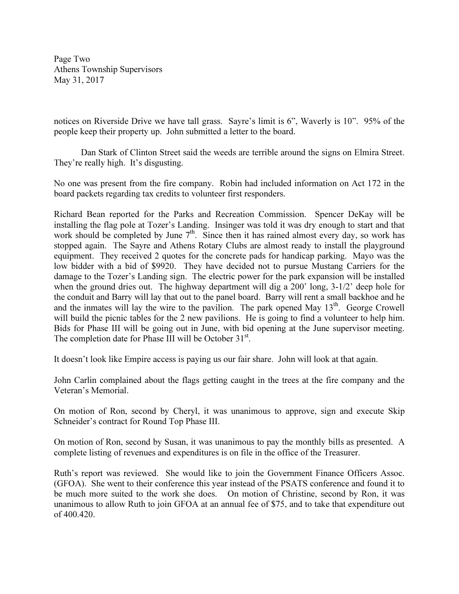Page Two Athens Township Supervisors May 31, 2017

notices on Riverside Drive we have tall grass. Sayre's limit is 6", Waverly is 10". 95% of the people keep their property up. John submitted a letter to the board.

Dan Stark of Clinton Street said the weeds are terrible around the signs on Elmira Street. They're really high. It's disgusting.

No one was present from the fire company. Robin had included information on Act 172 in the board packets regarding tax credits to volunteer first responders.

Richard Bean reported for the Parks and Recreation Commission. Spencer DeKay will be installing the flag pole at Tozer's Landing. Insinger was told it was dry enough to start and that work should be completed by June  $7<sup>th</sup>$ . Since then it has rained almost every day, so work has stopped again. The Sayre and Athens Rotary Clubs are almost ready to install the playground equipment. They received 2 quotes for the concrete pads for handicap parking. Mayo was the low bidder with a bid of \$9920. They have decided not to pursue Mustang Carriers for the damage to the Tozer's Landing sign. The electric power for the park expansion will be installed when the ground dries out. The highway department will dig a 200' long, 3-1/2' deep hole for the conduit and Barry will lay that out to the panel board. Barry will rent a small backhoe and he and the inmates will lay the wire to the pavilion. The park opened May  $13<sup>th</sup>$ . George Crowell will build the picnic tables for the 2 new pavilions. He is going to find a volunteer to help him. Bids for Phase III will be going out in June, with bid opening at the June supervisor meeting. The completion date for Phase III will be October  $31<sup>st</sup>$ .

It doesn't look like Empire access is paying us our fair share. John will look at that again.

John Carlin complained about the flags getting caught in the trees at the fire company and the Veteran's Memorial.

On motion of Ron, second by Cheryl, it was unanimous to approve, sign and execute Skip Schneider's contract for Round Top Phase III.

On motion of Ron, second by Susan, it was unanimous to pay the monthly bills as presented. A complete listing of revenues and expenditures is on file in the office of the Treasurer.

Ruth's report was reviewed. She would like to join the Government Finance Officers Assoc. (GFOA). She went to their conference this year instead of the PSATS conference and found it to be much more suited to the work she does. On motion of Christine, second by Ron, it was unanimous to allow Ruth to join GFOA at an annual fee of \$75, and to take that expenditure out of 400.420.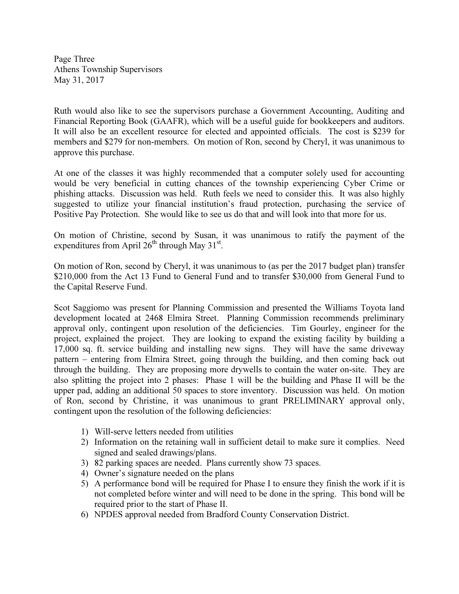Page Three Athens Township Supervisors May 31, 2017

Ruth would also like to see the supervisors purchase a Government Accounting, Auditing and Financial Reporting Book (GAAFR), which will be a useful guide for bookkeepers and auditors. It will also be an excellent resource for elected and appointed officials. The cost is \$239 for members and \$279 for non-members. On motion of Ron, second by Cheryl, it was unanimous to approve this purchase.

At one of the classes it was highly recommended that a computer solely used for accounting would be very beneficial in cutting chances of the township experiencing Cyber Crime or phishing attacks. Discussion was held. Ruth feels we need to consider this. It was also highly suggested to utilize your financial institution's fraud protection, purchasing the service of Positive Pay Protection. She would like to see us do that and will look into that more for us.

On motion of Christine, second by Susan, it was unanimous to ratify the payment of the expenditures from April  $26^{th}$  through May 31<sup>st</sup>.

On motion of Ron, second by Cheryl, it was unanimous to (as per the 2017 budget plan) transfer \$210,000 from the Act 13 Fund to General Fund and to transfer \$30,000 from General Fund to the Capital Reserve Fund.

Scot Saggiomo was present for Planning Commission and presented the Williams Toyota land development located at 2468 Elmira Street. Planning Commission recommends preliminary approval only, contingent upon resolution of the deficiencies. Tim Gourley, engineer for the project, explained the project. They are looking to expand the existing facility by building a 17,000 sq. ft. service building and installing new signs. They will have the same driveway pattern – entering from Elmira Street, going through the building, and then coming back out through the building. They are proposing more drywells to contain the water on-site. They are also splitting the project into 2 phases: Phase 1 will be the building and Phase II will be the upper pad, adding an additional 50 spaces to store inventory. Discussion was held. On motion of Ron, second by Christine, it was unanimous to grant PRELIMINARY approval only, contingent upon the resolution of the following deficiencies:

- 1) Will-serve letters needed from utilities
- 2) Information on the retaining wall in sufficient detail to make sure it complies. Need signed and sealed drawings/plans.
- 3) 82 parking spaces are needed. Plans currently show 73 spaces.
- 4) Owner's signature needed on the plans
- 5) A performance bond will be required for Phase I to ensure they finish the work if it is not completed before winter and will need to be done in the spring. This bond will be required prior to the start of Phase II.
- 6) NPDES approval needed from Bradford County Conservation District.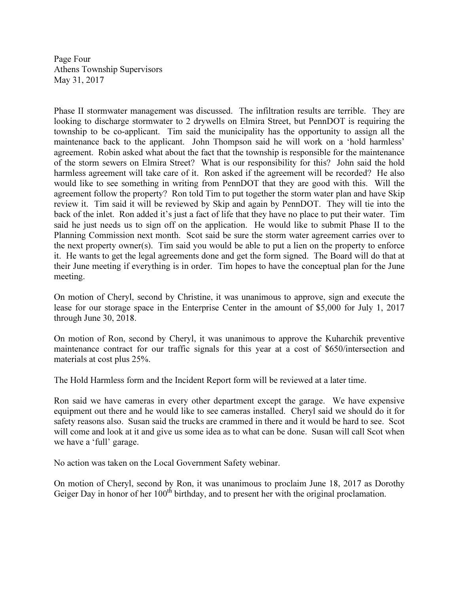Page Four Athens Township Supervisors May 31, 2017

Phase II stormwater management was discussed. The infiltration results are terrible. They are looking to discharge stormwater to 2 drywells on Elmira Street, but PennDOT is requiring the township to be co-applicant. Tim said the municipality has the opportunity to assign all the maintenance back to the applicant. John Thompson said he will work on a 'hold harmless' agreement. Robin asked what about the fact that the township is responsible for the maintenance of the storm sewers on Elmira Street? What is our responsibility for this? John said the hold harmless agreement will take care of it. Ron asked if the agreement will be recorded? He also would like to see something in writing from PennDOT that they are good with this. Will the agreement follow the property? Ron told Tim to put together the storm water plan and have Skip review it. Tim said it will be reviewed by Skip and again by PennDOT. They will tie into the back of the inlet. Ron added it's just a fact of life that they have no place to put their water. Tim said he just needs us to sign off on the application. He would like to submit Phase II to the Planning Commission next month. Scot said be sure the storm water agreement carries over to the next property owner(s). Tim said you would be able to put a lien on the property to enforce it. He wants to get the legal agreements done and get the form signed. The Board will do that at their June meeting if everything is in order. Tim hopes to have the conceptual plan for the June meeting.

On motion of Cheryl, second by Christine, it was unanimous to approve, sign and execute the lease for our storage space in the Enterprise Center in the amount of \$5,000 for July 1, 2017 through June 30, 2018.

On motion of Ron, second by Cheryl, it was unanimous to approve the Kuharchik preventive maintenance contract for our traffic signals for this year at a cost of \$650/intersection and materials at cost plus 25%.

The Hold Harmless form and the Incident Report form will be reviewed at a later time.

Ron said we have cameras in every other department except the garage. We have expensive equipment out there and he would like to see cameras installed. Cheryl said we should do it for safety reasons also. Susan said the trucks are crammed in there and it would be hard to see. Scot will come and look at it and give us some idea as to what can be done. Susan will call Scot when we have a 'full' garage.

No action was taken on the Local Government Safety webinar.

On motion of Cheryl, second by Ron, it was unanimous to proclaim June 18, 2017 as Dorothy Geiger Day in honor of her 100<sup>th</sup> birthday, and to present her with the original proclamation.